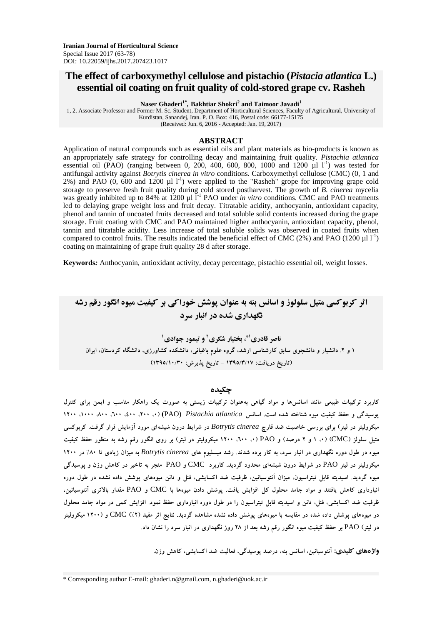# **The effect of carboxymethyl cellulose and pistachio (***Pistacia atlantica* **L.) essential oil coating on fruit quality of cold-stored grape cv. Rasheh**

**Naser Ghaderi1\* , Bakhtiar Shokri<sup>2</sup> and Taimoor Javadi<sup>1</sup>**

1, 2. Associate Professor and Former M. Sc. Student, Department of Horticultural Sciences, Faculty of Agricultural, University of Kurdistan, Sanandej, Iran. P. O. Box: 416, Postal code: 66177-15175 (Received: Jun. 6, 2016 - Accepted: Jan. 19, 2017)

#### **ABSTRACT**

Application of natural compounds such as essential oils and plant materials as bio-products is known as an appropriately safe strategy for controlling decay and maintaining fruit quality. *Pistachia atlantica* essential oil (PAO) (ranging between 0, 200, 400, 600, 800, 1000 and 1200  $\mu$ l l<sup>-1</sup>) was tested for antifungal activity against *Botrytis cinerea in vitro* conditions. Carboxymethyl cellulose (CMC) (0, 1 and 2%) and PAO  $(0, 600$  and 1200  $\mu$ l l<sup>-1</sup>) were applied to the "Rasheh" grope for improving grape cold storage to preserve fresh fruit quality during cold stored postharvest. The growth of *B. cinerea* mycelia was greatly inhibited up to 84% at 1200 µl I<sup>-1</sup> PAO under *in vitro* conditions. CMC and PAO treatments led to delaying grape weight loss and fruit decay. Titratable acidity, anthocyanin, antioxidant capacity, phenol and tannin of uncoated fruits decreased and total soluble solid contents increased during the grape storage. Fruit coating with CMC and PAO maintained higher anthocyanin, antioxidant capacity, phenol, tannin and titratable acidity. Less increase of total soluble solids was observed in coated fruits when compared to control fruits. The results indicated the beneficial effect of CMC (2%) and PAO (1200  $\mu$ l l<sup>-1</sup>) coating on maintaining of grape fruit quality 28 d after storage.

**Keywords***:* Anthocyanin, antioxidant activity, decay percentage, pistachio essential oil, weight losses.

# **اثر کربوکسی متیل سلولوز و اسانس بنه به عنوان پوشش خوراکی بر کیفیت میوه انگور رقم رشه نگهداری شده در انبار سرد**

**ناصر قادری ٰ ؓ، بختیار شکری ٔ و تیمور جوادی ٰ 1 و .2 دانشیار و دانشجوی سابق کارشناسی ارشد، گروه علوم باغبانی، دانشکده کشاورزی، دانشگاه کردستان، ایران )تاریخ دریافت: 1395/3/17 - تاریخ پذیرش: 1395/10/30(**

#### **چکیده**

**کاربرد ترکیبات طبیعی مانند اسانسها و مواد گیاهی بهعنوان ترکیبات زیستی به صورت یک راهکار مناسب و ایمن برای کنترل پوسیدگی و حفظ کیفیت میوه شناخته شده است. اسانس** *atlantica Pistachia***(** PAO**( )،0 ،200 ،400 ،600 ،800 ،1000 1200 میکرولیتر در لیتر( برای بررسی خاصیت ضد قارچ** *cinerea Botrytis* **در شرایط درون شیشهای مورد آزمایش قرار گرفت. کربوکسی متیل سلولز )**CMC**( )،0 1 و 2 درصد( و** PAO**( ،0 ،600 1200 میکرولیتر در لیتر( بر روی انگور رقم رشه به منظور حفظ کیفیت میوه در طول دوره نگهداری در انبار سرد، به کار برده شدند. رشد میسلیوم های** *cinerea Botrytis* **به میزان زیادی تا %80 در 1200 میکرولیتر در لیتر** PAO **در شرایط درون شیشهای محدود گردید. کاربرد** CMC **و** PAO **منجر به تاخیر در کاهش وزن و پوسیدگی میوه گردید. اسیدیته قابل تیتراسیون، میزان آنتوسیانین، ظرفیت ضد اکسایشی، فنل و تانن میوههای پوشش داده نشده در طول دوره انبارداری کاهش یافتند و مواد جامد محلول کل افزایش یافت. پوشش دادن میوهها با** CMC **و** PAO **مقدار باالتری آنتوسیانین، ظرفیت ضد اکسایشی، فنل، تانن و اسیدیته قابل تیتراسیون را در طول دوره انبارداری حفظ نمود. افزایش کمی در مواد جامد محلول در میوههای پوشش داده شده در مقایسه با میوههای پوشش داده نشده مشاهده گردید. نتایج اثر مفید )%2(** CMC **و )1200 میکرولینر در لیتر(** PAO **بر حفظ کیفیت میوه انگور رقم رشه بعد از 28 روز نگهداری در انبار سرد را نشان داد.** 

**واژههای کلیدی: آنتوسیانین، اسانس بنه، درصد پوسیدگی، فعالیت ضد اکسایشی، کاهش وزن.**

\* Corresponding author E-mail: ghaderi.n@gmail.com, n.ghaderi@uok.ac.ir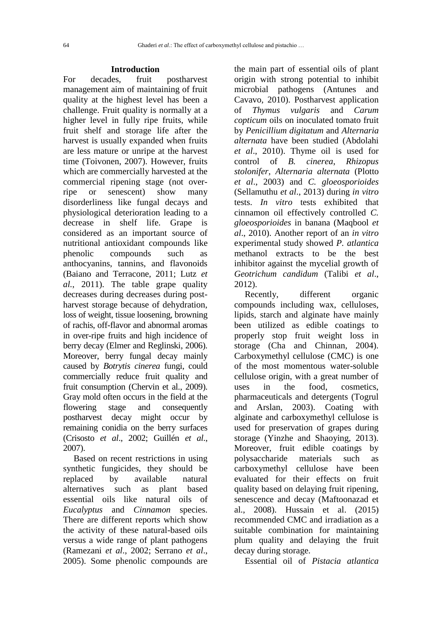## **Introduction**

For decades, fruit postharvest management aim of maintaining of fruit quality at the highest level has been a challenge. Fruit quality is normally at a higher level in fully ripe fruits, while fruit shelf and storage life after the harvest is usually expanded when fruits are less mature or unripe at the harvest time (Toivonen, 2007). However, fruits which are commercially harvested at the commercial ripening stage (not overripe or senescent) show many disorderliness like fungal decays and physiological deterioration leading to a decrease in shelf life. Grape is considered as an important source of nutritional antioxidant compounds like phenolic compounds such as anthocyanins, tannins, and flavonoids (Baiano and Terracone, 2011; Lutz *et al.*, 2011). The table grape quality decreases during decreases during postharvest storage because of dehydration, loss of weight, tissue loosening, browning of rachis, off-flavor and abnormal aromas in over-ripe fruits and high incidence of berry decay (Elmer and Reglinski, 2006). Moreover, berry fungal decay mainly caused by *Botrytis cinerea* fungi, could commercially reduce fruit quality and fruit consumption (Chervin et al., 2009). Gray mold often occurs in the field at the flowering stage and consequently postharvest decay might occur by remaining conidia on the berry surfaces (Crisosto *et al*., 2002; Guillén *et al*., 2007).

Based on recent restrictions in using synthetic fungicides, they should be replaced by available natural alternatives such as plant based essential oils like natural oils of *Eucalyptus* and *Cinnamon* species. There are different reports which show the activity of these natural-based oils versus a wide range of plant pathogens (Ramezani *et al*., 2002; Serrano *et al*., 2005). Some phenolic compounds are

the main part of essential oils of plant origin with strong potential to inhibit microbial pathogens (Antunes and Cavavo, 2010). Postharvest application of *Thymus vulgaris* and *Carum copticum* oils on inoculated tomato fruit by *Penicillium digitatum* and *Alternaria alternata* have been studied (Abdolahi *et al*., 2010). Thyme oil is used for control of *B. cinerea*, *Rhizopus stolonifer*, *Alternaria alternata* (Plotto *et al*., 2003) and *C. gloeosporioides* (Sellamuthu *et al*., 2013) during *in vitro* tests. *In vitro* tests exhibited that cinnamon oil effectively controlled *C. gloeosporioides* in banana (Maqbool *et al*., 2010). Another report of an *in vitro* experimental study showed *P. atlantica* methanol extracts to be the best inhibitor against the mycelial growth of *Geotrichum candidum* (Talibi *et al*., 2012).

Recently, different organic compounds including wax, celluloses, lipids, starch and alginate have mainly been utilized as edible coatings to properly stop fruit weight loss in storage (Cha and Chinnan, 2004). Carboxymethyl cellulose (CMC) is one of the most momentous water-soluble cellulose origin, with a great number of uses in the food, cosmetics, pharmaceuticals and detergents (Togrul and Arslan, 2003). Coating with alginate and carboxymethyl cellulose is used for preservation of grapes during storage (Yinzhe and Shaoying, 2013). Moreover, fruit edible coatings by polysaccharide materials such as carboxymethyl cellulose have been evaluated for their effects on fruit quality based on delaying fruit ripening, senescence and decay (Maftoonazad et al., 2008). Hussain et al. (2015) recommended CMC and irradiation as a suitable combination for maintaining plum quality and delaying the fruit decay during storage.

Essential oil of *Pistacia atlantica*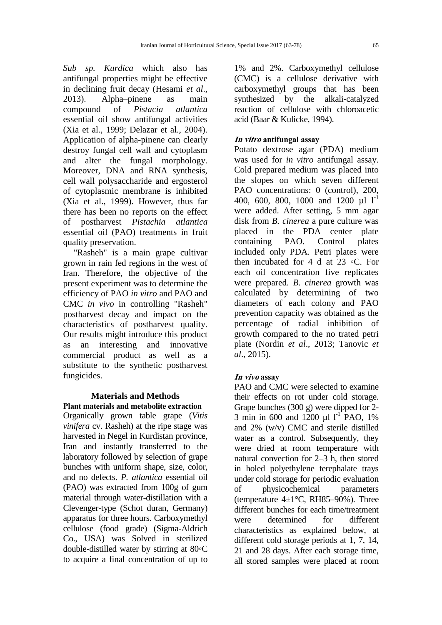*Sub sp. Kurdica* which also has antifungal properties might be effective in declining fruit decay (Hesami *et al*., 2013). Alpha–pinene as main compound of *Pistacia atlantica*  essential oil show antifungal activities (Xia et al., 1999; Delazar et al., 2004). Application of alpha-pinene can clearly destroy fungal cell wall and cytoplasm and alter the fungal morphology. Moreover, DNA and RNA synthesis, cell wall polysaccharide and ergosterol of cytoplasmic membrane is inhibited (Xia et al., 1999). However, thus far there has been no reports on the effect of postharvest *Pistachia atlantica* essential oil (PAO) treatments in fruit quality preservation.

"Rasheh" is a main grape cultivar grown in rain fed regions in the west of Iran. Therefore, the objective of the present experiment was to determine the efficiency of PAO *in vitro* and PAO and CMC *in vivo* in controlling "Rasheh" postharvest decay and impact on the characteristics of postharvest quality. Our results might introduce this product as an interesting and innovative commercial product as well as a substitute to the synthetic postharvest fungicides.

# **Materials and Methods Plant materials and metabolite extraction**

Organically grown table grape (*Vitis vinifera* cv. Rasheh) at the ripe stage was harvested in Negel in Kurdistan province, Iran and instantly transferred to the laboratory followed by selection of grape bunches with uniform shape, size, color, and no defects. *P. atlantica* essential oil (PAO) was extracted from 100g of gum material through water-distillation with a Clevenger-type (Schot duran, Germany) apparatus for three hours. Carboxymethyl cellulose (food grade) (Sigma-Aldrich Co., USA) was Solved in sterilized double-distilled water by stirring at 80◦C to acquire a final concentration of up to 1% and 2%. Carboxymethyl cellulose (CMC) is a cellulose derivative with carboxymethyl groups that has been synthesized by the alkali-catalyzed reaction of cellulose with chloroacetic acid (Baar & Kulicke, 1994).

# **In vitro antifungal assay**

Potato dextrose agar (PDA) medium was used for *in vitro* antifungal assay. Cold prepared medium was placed into the slopes on which seven different PAO concentrations: 0 (control), 200, 400, 600, 800, 1000 and 1200 µl  $1^{-1}$ were added. After setting, 5 mm agar disk from *B. cinerea* a pure culture was placed in the PDA center plate containing PAO. Control plates included only PDA. Petri plates were then incubated for 4 d at  $23 \text{ °C}$ . For each oil concentration five replicates were prepared. *B. cinerea* growth was calculated by determining of two diameters of each colony and PAO prevention capacity was obtained as the percentage of radial inhibition of growth compared to the no trated petri plate (Nordin *et al*., 2013; Tanovic *et al*., 2015).

# **In vivo assay**

PAO and CMC were selected to examine their effects on rot under cold storage. Grape bunches (300 g) were dipped for 2- 3 min in 600 and 1200  $\mu$ l l<sup>-1</sup> PAO, 1% and 2% (w/v) CMC and sterile distilled water as a control. Subsequently, they were dried at room temperature with natural convection for 2–3 h, then stored in holed polyethylene terephalate trays under cold storage for periodic evaluation of physicochemical parameters (temperature  $4\pm1\degree C$ , RH85–90%). Three different bunches for each time/treatment were determined for different characteristics as explained below, at different cold storage periods at 1, 7, 14, 21 and 28 days. After each storage time, all stored samples were placed at room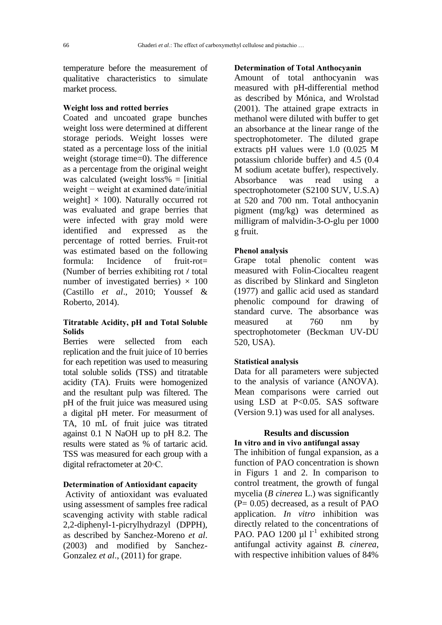temperature before the measurement of qualitative characteristics to simulate market process.

#### **Weight loss and rotted berries**

Coated and uncoated grape bunches weight loss were determined at different storage periods. Weight losses were stated as a percentage loss of the initial weight (storage time=0). The difference as a percentage from the original weight was calculated (weight  $loss\% = [initial]$ weight − weight at examined date/initial weight]  $\times$  100). Naturally occurred rot was evaluated and grape berries that were infected with gray mold were identified and expressed as the percentage of rotted berries. Fruit-rot was estimated based on the following formula: Incidence of fruit-rot= (Number of berries exhibiting rot **/** total number of investigated berries)  $\times$  100 (Castillo *et al*., 2010; Youssef & Roberto, 2014).

## **Titratable Acidity, pH and Total Soluble Solids**

Berries were sellected from each replication and the fruit juice of 10 berries for each repetition was used to measuring total soluble solids (TSS) and titratable acidity (TA). Fruits were homogenized and the resultant pulp was filtered. The pH of the fruit juice was measured using a digital pH meter. For measurment of TA, 10 mL of fruit juice was titrated against 0.1 N NaOH up to pH 8.2. The results were stated as % of tartaric acid. TSS was measured for each group with a digital refractometer at 20◦C.

## **Determination of Antioxidant capacity**

Activity of antioxidant was evaluated using assessment of samples free radical scavenging activity with stable radical 2,2-diphenyl-1-picrylhydrazyl (DPPH), as described by Sanchez-Moreno *et al*. (2003) and modified by Sanchez-Gonzalez *et al*., (2011) for grape.

#### **Determination of Total Anthocyanin**

Amount of total anthocyanin was measured with pH-differential method as described by Mónica, and Wrolstad (2001). The attained grape extracts in methanol were diluted with buffer to get an absorbance at the linear range of the spectrophotometer. The diluted grape extracts pH values were 1.0 (0.025 M potassium chloride buffer) and 4.5 (0.4 M sodium acetate buffer), respectively. Absorbance was read using a spectrophotometer (S2100 SUV, U.S.A) at 520 and 700 nm. Total anthocyanin pigment (mg/kg) was determined as milligram of malvidin-3-O-glu per 1000 g fruit.

## **Phenol analysis**

Grape total phenolic content was measured with Folin-Ciocalteu reagent as discribed by Slinkard and Singleton (1977) and gallic acid used as standard phenolic compound for drawing of standard curve. The absorbance was measured at 760 nm by spectrophotometer (Beckman UV-DU 520, USA).

#### **Statistical analysis**

Data for all parameters were subjected to the analysis of variance (ANOVA). Mean comparisons were carried out using LSD at P<0.05. SAS software (Version 9.1) was used for all analyses.

# **Results and discussion In vitro and in vivo antifungal assay**

The inhibition of fungal expansion, as a function of PAO concentration is shown in Figurs 1 and 2. In comparison to control treatment, the growth of fungal mycelia (*B cinerea* L.) was significantly  $(P= 0.05)$  decreased, as a result of PAO application. *In vitro* inhibition was directly related to the concentrations of PAO. PAO 1200 µl  $I^{-1}$  exhibited strong antifungal activity against *B. cinerea*, with respective inhibition values of 84%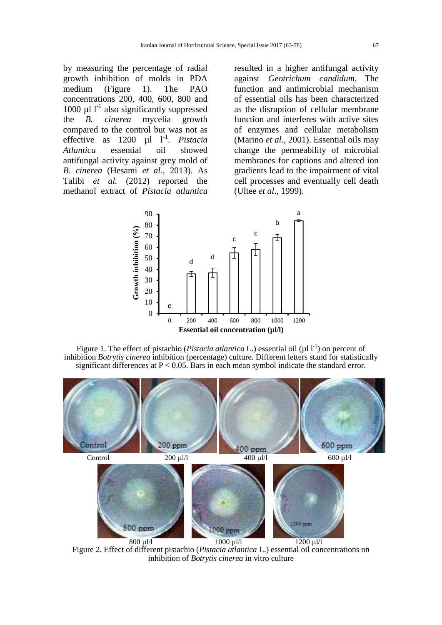by measuring the percentage of radial growth inhibition of molds in PDA medium (Figure 1). The PAO concentrations 200, 400, 600, 800 and 1000  $\mu$ l l<sup>-1</sup> also significantly suppressed the *B. cinerea* mycelia growth compared to the control but was not as effective as 1200 µl l<sup>-1</sup>. Pistacia *Atlantica* essential oil showed antifungal activity against grey mold of *B. cinerea* (Hesami *et al*., 2013). As Talibi *et al.* (2012) reported the methanol extract of *Pistacia atlantica* 

resulted in a higher antifungal activity against *Geotrichum candidum.* The function and antimicrobial mechanism of essential oils has been characterized as the disruption of cellular membrane function and interferes with active sites of enzymes and cellular metabolism (Marino *et al*., 2001). Essential oils may change the permeability of microbial membranes for captions and altered ion gradients lead to the impairment of vital cell processes and eventually cell death (Ultee *et al*., 1999).



Figure 1. The effect of pistachio (*Pistacia atlantica* L.) essential oil ( $\mu$ l l<sup>-1</sup>) on percent of inhibition *Botrytis cinerea* inhibition (percentage) culture. Different letters stand for statistically significant differences at  $P < 0.05$ . Bars in each mean symbol indicate the standard error.



Figure 2. Effect of different pistachio (*Pistacia atlantica* L.) essential oil concentrations on inhibition of *Botrytis cinerea* in vitro culture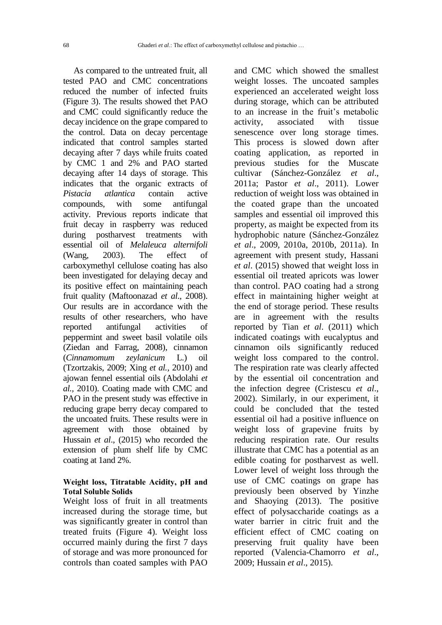As compared to the untreated fruit, all tested PAO and CMC concentrations reduced the number of infected fruits (Figure 3). The results showed thet PAO and CMC could significantly reduce the decay incidence on the grape compared to the control. Data on decay percentage indicated that control samples started decaying after 7 days while fruits coated by CMC 1 and 2% and PAO started decaying after 14 days of storage. This indicates that the organic extracts of *Pistacia atlantica* contain active compounds, with some antifungal activity. Previous reports indicate that fruit decay in raspberry was reduced during postharvest treatments with essential oil of *Melaleuca alternifoli*  (Wang, 2003). The effect of carboxymethyl cellulose coating has also been investigated for delaying decay and its positive effect on maintaining peach fruit quality (Maftoonazad *et al*., 2008). Our results are in accordance with the results of other researchers, who have reported antifungal activities of peppermint and sweet basil volatile oils (Ziedan and Farrag, 2008), cinnamon (*Cinnamomum zeylanicum* L.) oil (Tzortzakis, 2009; Xing *et al.,* 2010) and ajowan fennel essential oils (Abdolahi *et al.,* 2010). Coating made with CMC and PAO in the present study was effective in reducing grape berry decay compared to the uncoated fruits. These results were in agreement with those obtained by Hussain *et al*., (2015) who recorded the extension of plum shelf life by CMC coating at 1and 2%.

## **Weight loss, Titratable Acidity, pH and Total Soluble Solids**

Weight loss of fruit in all treatments increased during the storage time, but was significantly greater in control than treated fruits (Figure 4). Weight loss occurred mainly during the first 7 days of storage and was more pronounced for controls than coated samples with PAO

and CMC which showed the smallest weight losses. The uncoated samples experienced an accelerated weight loss during storage, which can be attributed to an increase in the fruit's metabolic activity, associated with tissue senescence over long storage times. This process is slowed down after coating application, as reported in previous studies for the Muscate cultivar (Sánchez-González *et al*., 2011a; Pastor *et al*., 2011). Lower reduction of weight loss was obtained in the coated grape than the uncoated samples and essential oil improved this property, as maight be expected from its hydrophobic nature (Sánchez-González *et al*., 2009, 2010a, 2010b, 2011a). In agreement with present study, Hassani *et al*. (2015) showed that weight loss in essential oil treated apricots was lower than control. PAO coating had a strong effect in maintaining higher weight at the end of storage period. These results are in agreement with the results reported by Tian *et al*. (2011) which indicated coatings with eucalyptus and cinnamon oils significantly reduced weight loss compared to the control. The respiration rate was clearly affected by the essential oil concentration and the infection degree (Cristescu *et al*., 2002). Similarly, in our experiment, it could be concluded that the tested essential oil had a positive influence on weight loss of grapevine fruits by reducing respiration rate. Our results illustrate that CMC has a potential as an edible coating for postharvest as well. Lower level of weight loss through the use of CMC coatings on grape has previously been observed by Yinzhe and Shaoying (2013). The positive effect of polysaccharide coatings as a water barrier in citric fruit and the efficient effect of CMC coating on preserving fruit quality have been reported (Valencia-Chamorro *et al*., 2009; Hussain *et al*., 2015).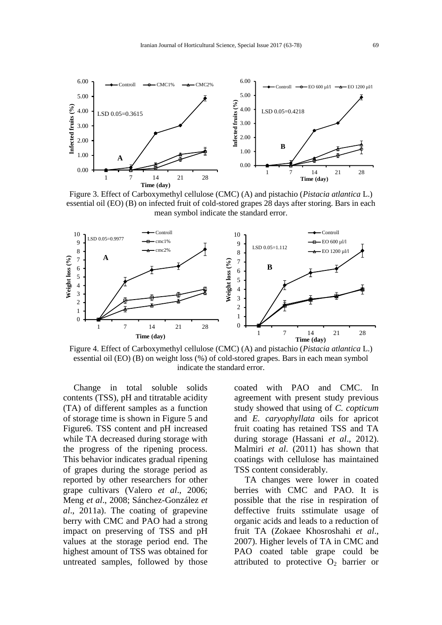

Figure 3. Effect of Carboxymethyl cellulose (CMC) (A) and pistachio (*Pistacia atlantica* L.) essential oil (EO) (B) on infected fruit of cold-stored grapes 28 days after storing. Bars in each mean symbol indicate the standard error.



Figure 4. Effect of Carboxymethyl cellulose (CMC) (A) and pistachio (*Pistacia atlantica* L.) essential oil (EO) (B) on weight loss (%) of cold-stored grapes. Bars in each mean symbol indicate the standard error.

Change in total soluble solids contents (TSS), pH and titratable acidity (TA) of different samples as a function of storage time is shown in Figure 5 and Figure6. TSS content and pH increased while TA decreased during storage with the progress of the ripening process. This behavior indicates gradual ripening of grapes during the storage period as reported by other researchers for other grape cultivars (Valero *et al*., 2006; Meng *et al*., 2008; Sánchez-González *et al*., 2011a). The coating of grapevine berry with CMC and PAO had a strong impact on preserving of TSS and pH values at the storage period end. The highest amount of TSS was obtained for untreated samples, followed by those

coated with PAO and CMC. In agreement with present study previous study showed that using of *C. copticum*  and *E. caryophyllata* oils for apricot fruit coating has retained TSS and TA during storage (Hassani *et al*., 2012). Malmiri *et al*. (2011) has shown that coatings with cellulose has maintained TSS content considerably.

TA changes were lower in coated berries with CMC and PAO. It is possible that the rise in respiration of deffective fruits sstimulate usage of organic acids and leads to a reduction of fruit TA (Zokaee Khosroshahi *et al*., 2007). Higher levels of TA in CMC and PAO coated table grape could be attributed to protective  $O_2$  barrier or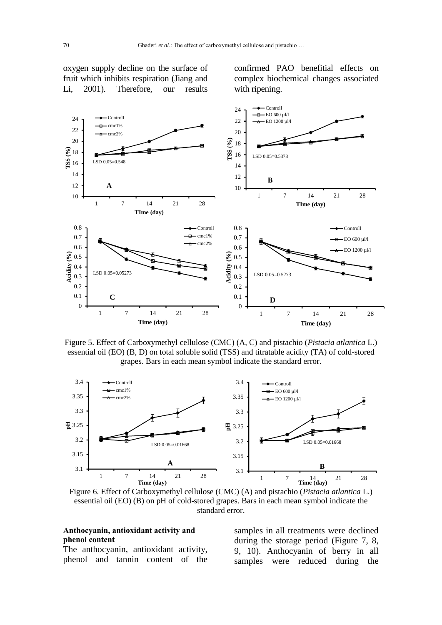

oxygen supply decline on the surface of fruit which inhibits respiration (Jiang and Li, 2001). Therefore, our results confirmed PAO benefitial effects on complex biochemical changes associated with ripening.

Figure 5. Effect of Carboxymethyl cellulose (CMC) (A, C) and pistachio (*Pistacia atlantica* L.) essential oil (EO) (B, D) on total soluble solid (TSS) and titratable acidity (TA) of cold-stored grapes. Bars in each mean symbol indicate the standard error.



Figure 6. Effect of Carboxymethyl cellulose (CMC) (A) and pistachio (*Pistacia atlantica* L.) essential oil (EO) (B) on pH of cold-stored grapes. Bars in each mean symbol indicate the standard error.

#### **Anthocyanin, antioxidant activity and phenol content**

The anthocyanin, antioxidant activity, phenol and tannin content of the

samples in all treatments were declined during the storage period (Figure 7, 8, 9, 10). Anthocyanin of berry in all samples were reduced during the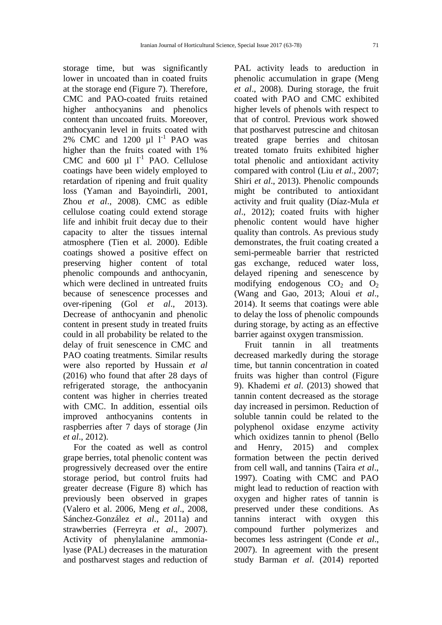storage time, but was significantly lower in uncoated than in coated fruits at the storage end (Figure 7). Therefore, CMC and PAO-coated fruits retained higher anthocyanins and phenolics content than uncoated fruits. Moreover, anthocyanin level in fruits coated with 2% CMC and  $1200 \mu l l^1$  PAO was higher than the fruits coated with 1% CMC and  $600 \mu l l^1$  PAO. Cellulose coatings have been widely employed to retardation of ripening and fruit quality loss (Yaman and Bayoindirli, 2001, Zhou *et al*., 2008). CMC as edible cellulose coating could extend storage life and inhibit fruit decay due to their capacity to alter the tissues internal atmosphere (Tien et al. 2000). Edible coatings showed a positive effect on preserving higher content of total phenolic compounds and anthocyanin, which were declined in untreated fruits because of senescence processes and over-ripening (Gol *et al*., 2013). Decrease of anthocyanin and phenolic content in present study in treated fruits could in all probability be related to the delay of fruit senescence in CMC and PAO coating treatments. Similar results were also reported by Hussain *et al* (2016) who found that after 28 days of refrigerated storage, the anthocyanin content was higher in cherries treated with CMC. In addition, essential oils improved anthocyanins contents in raspberries after 7 days of storage (Jin *et al*., 2012).

For the coated as well as control grape berries, total phenolic content was progressively decreased over the entire storage period, but control fruits had greater decrease (Figure 8) which has previously been observed in grapes (Valero et al. 2006, Meng *et al*., 2008, Sánchez-González *et al*., 2011a) and strawberries (Ferreyra *et al*., 2007). Activity of phenylalanine ammonialyase (PAL) decreases in the maturation and postharvest stages and reduction of

PAL activity leads to areduction in phenolic accumulation in grape (Meng *et al*., 2008). During storage, the fruit coated with PAO and CMC exhibited higher levels of phenols with respect to that of control. Previous work showed that postharvest putrescine and chitosan treated grape berries and chitosan treated tomato fruits exhibited higher total phenolic and antioxidant activity compared with control (Liu *et al*., 2007; Shiri *et al*., 2013). Phenolic compounds might be contributed to antioxidant activity and fruit quality (Díaz-Mula *et al*., 2012); coated fruits with higher phenolic content would have higher quality than controls. As previous study demonstrates, the fruit coating created a semi-permeable barrier that restricted gas exchange, reduced water loss, delayed ripening and senescence by modifying endogenous  $CO<sub>2</sub>$  and  $O<sub>2</sub>$ (Wang and Gao, 2013; Aloui *et al*., 2014). It seems that coatings were able to delay the loss of phenolic compounds during storage, by acting as an effective barrier against oxygen transmission.

Fruit tannin in all treatments decreased markedly during the storage time, but tannin concentration in coated fruits was higher than control (Figure 9). Khademi *et al*. (2013) showed that tannin content decreased as the storage day increased in persimon. Reduction of soluble tannin could be related to the polyphenol oxidase enzyme activity which oxidizes tannin to phenol (Bello and Henry, 2015) and complex formation between the pectin derived from cell wall, and tannins (Taira *et al*., 1997). Coating with CMC and PAO might lead to reduction of reaction with oxygen and higher rates of tannin is preserved under these conditions. As tannins interact with oxygen this compound further polymerizes and becomes less astringent (Conde *et al*., 2007). In agreement with the present study Barman *et al*. (2014) reported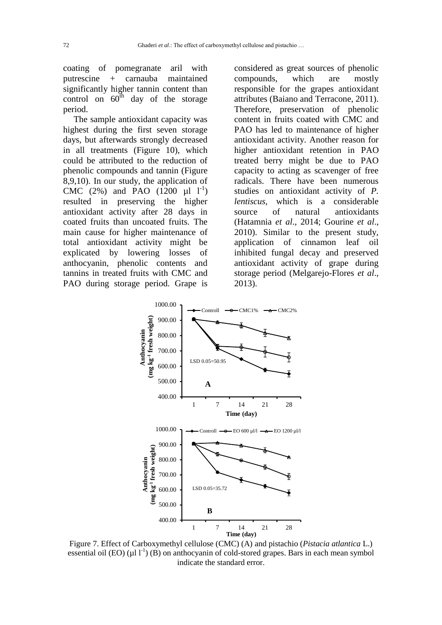coating of pomegranate aril with putrescine + carnauba maintained significantly higher tannin content than control on  $60<sup>th</sup>$  day of the storage period.

The sample antioxidant capacity was highest during the first seven storage days, but afterwards strongly decreased in all treatments (Figure 10), which could be attributed to the reduction of phenolic compounds and tannin (Figure 8,9,10). In our study, the application of CMC  $(2\%)$  and PAO  $(1200 \mu l l^{-1})$ resulted in preserving the higher antioxidant activity after 28 days in coated fruits than uncoated fruits. The main cause for higher maintenance of total antioxidant activity might be explicated by lowering losses of anthocyanin, phenolic contents and tannins in treated fruits with CMC and PAO during storage period. Grape is

considered as great sources of phenolic compounds, which are mostly responsible for the grapes antioxidant attributes (Baiano and Terracone, 2011). Therefore, preservation of phenolic content in fruits coated with CMC and PAO has led to maintenance of higher antioxidant activity. Another reason for higher antioxidant retention in PAO treated berry might be due to PAO capacity to acting as scavenger of free radicals. There have been numerous studies on antioxidant activity of *P. lentiscus,* which is a considerable source of natural antioxidants (Hatamnia *et al*., 2014; Gourine *et al*., 2010). Similar to the present study, application of cinnamon leaf oil inhibited fungal decay and preserved antioxidant activity of grape during storage period (Melgarejo-Flores *et al*., 2013).



Figure 7. Effect of Carboxymethyl cellulose (CMC) (A) and pistachio (*Pistacia atlantica* L.) essential oil (EO) ( $\mu$ l l<sup>-1</sup>) (B) on anthocyanin of cold-stored grapes. Bars in each mean symbol indicate the standard error.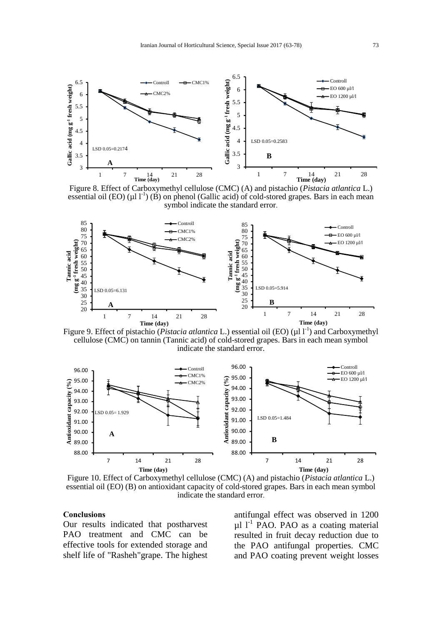

Figure 8. Effect of Carboxymethyl cellulose (CMC) (A) and pistachio (*Pistacia atlantica* L.) essential oil (EO) ( $\mu$ l l<sup>-1</sup>) (B) on phenol (Gallic acid) of cold-stored grapes. Bars in each mean symbol indicate the standard error.



Time (day)<br>Figure 9. Effect of pistachio (*Pistacia atlantica* L.) essential oil (EO) (µl l<sup>-1</sup>) and Carboxymethyl cellulose (CMC) on tannin (Tannic acid) of cold-stored grapes. Bars in each mean symbol indicate the standard error.



Figure 10. Effect of Carboxymethyl cellulose (CMC) (A) and pistachio (*Pistacia atlantica* L.) essential oil (EO) (B) on antioxidant capacity of cold-stored grapes. Bars in each mean symbol indicate the standard error.

#### **Conclusions**

Our results indicated that postharvest PAO treatment and CMC can be effective tools for extended storage and shelf life of "Rasheh"grape. The highest

antifungal effect was observed in 1200  $\mu$ l l<sup>-1</sup> PAO. PAO as a coating material resulted in fruit decay reduction due to the PAO antifungal properties. CMC and PAO coating prevent weight losses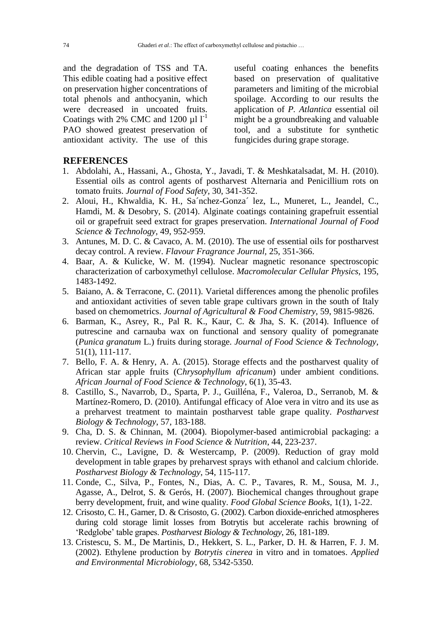and the degradation of TSS and TA. This edible coating had a positive effect on preservation higher concentrations of total phenols and anthocyanin, which were decreased in uncoated fruits. Coatings with 2% CMC and 1200  $\mu$ l l<sup>-1</sup> PAO showed greatest preservation of antioxidant activity. The use of this

useful coating enhances the benefits based on preservation of qualitative parameters and limiting of the microbial spoilage. According to our results the application of *P. Atlantica* essential oil might be a groundbreaking and valuable tool, and a substitute for synthetic fungicides during grape storage.

# **REFERENCES**

- 1. Abdolahi, A., Hassani, A., Ghosta, Y., Javadi, T. & Meshkatalsadat, M. H. (2010). Essential oils as control agents of postharvest Alternaria and Penicillium rots on tomato fruits. *Journal of Food Safety,* 30, 341-352.
- 2. Aloui, H., Khwaldia, K. H., Sa´nchez-Gonza´ lez, L., Muneret, L., Jeandel, C., Hamdi, M. & Desobry, S. (2014). Alginate coatings containing grapefruit essential oil or grapefruit seed extract for grapes preservation. *International Journal of Food Science & Technology,* 49, 952-959.
- 3. Antunes, M. D. C. & Cavaco, A. M. (2010). The use of essential oils for postharvest decay control. A review. *Flavour Fragrance Journal,* 25, 351-366.
- 4. Baar, A. & Kulicke, W. M. (1994). Nuclear magnetic resonance spectroscopic characterization of carboxymethyl cellulose. *Macromolecular Cellular Physics*, 195, 1483-1492.
- 5. Baiano, A. & Terracone, C. (2011). Varietal differences among the phenolic profiles and antioxidant activities of seven table grape cultivars grown in the south of Italy based on chemometrics. *Journal of Agricultural & Food Chemistry,* 59, 9815-9826.
- 6. Barman, K., Asrey, R., Pal R. K., Kaur, C. & Jha, S. K. (2014). Influence of putrescine and carnauba wax on functional and sensory quality of pomegranate (*Punica granatum* L.) fruits during storage. *Journal of Food Science & Technology,*  51(1), 111-117.
- 7. Bello, F. A. & Henry, A. A. (2015). Storage effects and the postharvest quality of African star apple fruits (C*hrysophyllum africanum*) under ambient conditions. *African Journal of Food Science & Technology*, 6(1), 35-43.
- 8. Castillo, S., Navarrob, D., Sparta, P. J., Guilléna, F., Valeroa, D., Serranob, M. & Martínez-Romero, D. (2010). Antifungal efficacy of Aloe vera in vitro and its use as a preharvest treatment to maintain postharvest table grape quality. *Postharvest Biology & Technology*, 57, 183-188.
- 9. Cha, D. S. & Chinnan, M. (2004). Biopolymer-based antimicrobial packaging: a review. *Critical Reviews in Food Science & Nutrition*, 44, 223-237.
- 10. Chervin, C., Lavigne, D. & Westercamp, P. (2009). Reduction of gray mold development in table grapes by preharvest sprays with ethanol and calcium chloride. *Postharvest Biology & Technology*, 54, 115-117.
- 11. Conde, C., Silva, P., Fontes, N., Dias, A. C. P., Tavares, R. M., Sousa, M. J., Agasse, A., Delrot, S. & Gerós, H. (2007). Biochemical changes throughout grape berry development, fruit, and wine quality. *Food Global Science Books,* 1(1), 1-22.
- 12. Crisosto, C. H., Garner, D. & Crisosto, G. (2002). Carbon dioxide-enriched atmospheres during cold storage limit losses from Botrytis but accelerate rachis browning of 'Redglobe' table grapes. *Postharvest Biology & Technology*, 26, 181-189.
- 13. Cristescu, S. M., De Martinis, D., Hekkert, S. L., Parker, D. H. & Harren, F. J. M. (2002). Ethylene production by *Botrytis cinerea* in vitro and in tomatoes. *Applied and Environmental Microbiology,* 68, 5342-5350.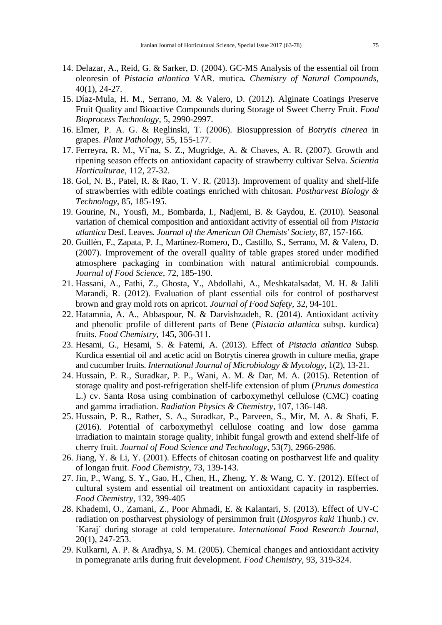- 14. Delazar, A., Reid, G. & Sarker, D. (2004). GC-MS Analysis of the essential oil from oleoresin of *Pistacia atlantica* VAR. mutica*. Chemistry of Natural Compounds,*  40(1), 24-27.
- 15. Díaz-Mula, H. M., Serrano, M. & Valero, D. (2012). Alginate Coatings Preserve Fruit Quality and Bioactive Compounds during Storage of Sweet Cherry Fruit. *Food Bioprocess Technology*, 5, 2990-2997.
- 16. Elmer, P. A. G. & Reglinski, T. (2006). Biosuppression of *Botrytis cinerea* in grapes. *Plant Pathology,* 55, 155-177.
- 17. Ferreyra, R. M., Vi˜na, S. Z., Mugridge, A. & Chaves, A. R. (2007). Growth and ripening season effects on antioxidant capacity of strawberry cultivar Selva. *Scientia Horticulturae,* 112, 27-32.
- 18. Gol, N. B., Patel, R. & Rao, T. V. R. (2013). Improvement of quality and shelf-life of strawberries with edible coatings enriched with chitosan. *Postharvest Biology & Technology*, 85, 185-195.
- 19. Gourine, N., Yousfi, M., Bombarda, I., Nadjemi, B. & Gaydou, E. (2010). Seasonal variation of chemical composition and antioxidant activity of essential oil from *Pistacia atlantica* Desf. Leaves. *Journal of the American Oil Chemists' Society*, 87, 157-166.
- 20. Guillén, F., Zapata, P. J., Martinez-Romero, D., Castillo, S., Serrano, M. & Valero, D. (2007). Improvement of the overall quality of table grapes stored under modified atmosphere packaging in combination with natural antimicrobial compounds. *Journal of Food Science,* 72, 185-190.
- 21. Hassani, A., Fathi, Z., Ghosta, Y., Abdollahi, A., Meshkatalsadat, M. H. & Jalili Marandi, R. (2012). Evaluation of plant essential oils for control of postharvest brown and gray mold rots on apricot. *Journal of Food Safety*, 32, 94-101.
- 22. Hatamnia, A. A., Abbaspour, N. & Darvishzadeh, R. (2014). Antioxidant activity and phenolic profile of different parts of Bene (*Pistacia atlantica* subsp. kurdica) fruits. *Food Chemistry*, 145, 306-311.
- 23. Hesami, G., Hesami, S. & Fatemi, A. (2013). Effect of *Pistacia atlantica* Subsp. Kurdica essential oil and acetic acid on Botrytis cinerea growth in culture media, grape and cucumber fruits. *International Journal of Microbiology & Mycology*, 1(2), 13-21.
- 24. Hussain, P. R., Suradkar, P. P., Wani, A. M. & Dar, M. A. (2015). Retention of storage quality and post-refrigeration shelf-life extension of plum (*Prunus domestica* L.) cv. Santa Rosa using combination of carboxymethyl cellulose (CMC) coating and gamma irradiation. *Radiation Physics & Chemistry*, 107, 136-148.
- 25. Hussain, P. R., Rather, S. A., Suradkar, P., Parveen, S., Mir, M. A. & Shafi, F. (2016). Potential of carboxymethyl cellulose coating and low dose gamma irradiation to maintain storage quality, inhibit fungal growth and extend shelf-life of cherry fruit. *Journal of Food Science and Technology*, 53(7), 2966-2986.
- 26. Jiang, Y. & Li, Y. (2001). Effects of chitosan coating on postharvest life and quality of longan fruit. *Food Chemistry*, 73, 139-143.
- 27. Jin, P., Wang, S. Y., Gao, H., Chen, H., Zheng, Y. & Wang, C. Y. (2012). Effect of cultural system and essential oil treatment on antioxidant capacity in raspberries. *Food Chemistry*, 132, 399-405
- 28. Khademi, O., Zamani, Z., Poor Ahmadi, E. & Kalantari, S. (2013). Effect of UV-C radiation on postharvest physiology of persimmon fruit (*Diospyros kaki* Thunb.) cv. `Karaj´ during storage at cold temperature. *International Food Research Journal*, 20(1), 247-253.
- 29. Kulkarni, A. P. & Aradhya, S. M. (2005). Chemical changes and antioxidant activity in pomegranate arils during fruit development. *Food Chemistry*, 93, 319-324.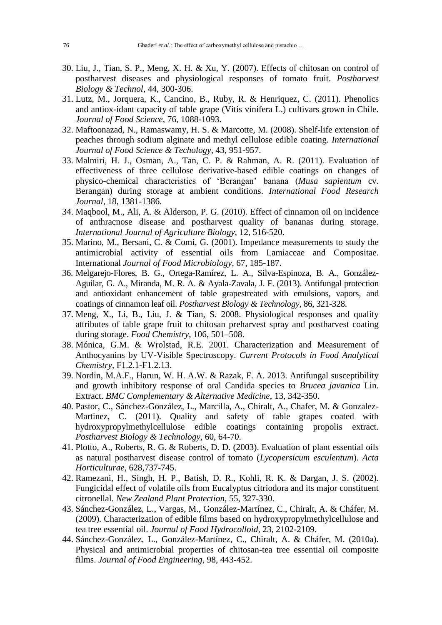- 30. Liu, J., Tian, S. P., Meng, X. H. & Xu, Y. (2007). Effects of chitosan on control of postharvest diseases and physiological responses of tomato fruit. *Postharvest Biology & Technol*, 44, 300-306.
- 31. Lutz, M., Jorquera, K., Cancino, B., Ruby, R. & Henriquez, C. (2011). Phenolics and antiox-idant capacity of table grape (Vitis vinifera L.) cultivars grown in Chile. *Journal of Food Science,* 76, 1088-1093.
- 32. Maftoonazad, N., Ramaswamy, H. S. & Marcotte, M. (2008). Shelf-life extension of peaches through sodium alginate and methyl cellulose edible coating. *International Journal of Food Science & Techology,* 43, 951-957.
- 33. Malmiri, H. J., Osman, A., Tan, C. P. & Rahman, A. R. (2011). Evaluation of effectiveness of three cellulose derivative-based edible coatings on changes of physico-chemical characteristics of 'Berangan' banana (*Musa sapientum* cv. Berangan) during storage at ambient conditions. *International Food Research Journal*, 18, 1381-1386.
- 34. Maqbool, M., Ali, A. & Alderson, P. G. (2010). Effect of cinnamon oil on incidence of anthracnose disease and postharvest quality of bananas during storage. *International Journal of Agriculture Biology*, 12, 516-520.
- 35. Marino, M., Bersani, C. & Comi, G. (2001). Impedance measurements to study the antimicrobial activity of essential oils from Lamiaceae and Compositae. International *Journal of Food Microbiology*, 67, 185-187.
- 36. Melgarejo-Flores, B. G., Ortega-Ramírez, L. A., Silva-Espinoza, B. A., González-Aguilar, G. A., Miranda, M. R. A. & Ayala-Zavala, J. F. (2013). Antifungal protection and antioxidant enhancement of table grapestreated with emulsions, vapors, and coatings of cinnamon leaf oil. *Postharvest Biology & Technology*, 86, 321-328.
- 37. Meng, X., Li, B., Liu, J. & Tian, S. 2008. Physiological responses and quality attributes of table grape fruit to chitosan preharvest spray and postharvest coating during storage. *Food Chemistry*, 106, 501–508.
- 38. Mónica, G.M. & Wrolstad, R.E. 2001. Characterization and Measurement of Anthocyanins by UV-Visible Spectroscopy. *Current Protocols in Food Analytical Chemistry*, F1.2.1-F1.2.13.
- 39. Nordin, M.A.F., Harun, W. H. A.W. & Razak, F. A. 2013. Antifungal susceptibility and growth inhibitory response of oral Candida species to *Brucea javanica* Lin. Extract. *BMC Complementary & Alternative Medicine,* 13, 342-350.
- 40. Pastor, C., Sánchez-González, L., Marcilla, A., Chiralt, A., Chafer, M. & Gonzalez-Martinez, C. (2011). Quality and safety of table grapes coated with hydroxypropylmethylcellulose edible coatings containing propolis extract. *Postharvest Biology & Technology*, 60, 64-70.
- 41. Plotto, A., Roberts, R. G. & Roberts, D. D. (2003). Evaluation of plant essential oils as natural postharvest disease control of tomato (*Lycopersicum esculentum*). *Acta Horticulturae*, 628,737-745.
- 42. Ramezani, H., Singh, H. P., Batish, D. R., Kohli, R. K. & Dargan, J. S. (2002). Fungicidal effect of volatile oils from Eucalyptus citriodora and its major constituent citronellal. *New Zealand Plant Protection*, 55, 327-330.
- 43. Sánchez-González, L., Vargas, M., González-Martínez, C., Chiralt, A. & Cháfer, M. (2009). Characterization of edible films based on hydroxypropylmethylcellulose and tea tree essential oil. *Journal of Food Hydrocolloid*, 23, 2102-2109.
- 44. Sánchez-González, L., González-Martínez, C., Chiralt, A. & Cháfer, M. (2010a). Physical and antimicrobial properties of chitosan-tea tree essential oil composite films. *Journal of Food Engineering*, 98, 443-452.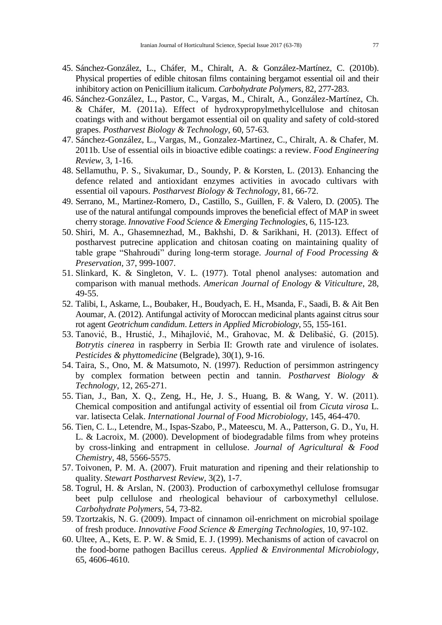- 45. Sánchez-González, L., Cháfer, M., Chiralt, A. & González-Martínez, C. (2010b). Physical properties of edible chitosan films containing bergamot essential oil and their inhibitory action on Penicillium italicum. *Carbohydrate Polymers*, 82, 277-283.
- 46. Sánchez-González, L., Pastor, C., Vargas, M., Chiralt, A., González-Martínez, Ch. & Cháfer, M. (2011a). Effect of hydroxypropylmethylcellulose and chitosan coatings with and without bergamot essential oil on quality and safety of cold-stored grapes. *Postharvest Biology & Technology*, 60, 57-63.
- 47. Sánchez-González, L., Vargas, M., Gonzalez-Martinez, C., Chiralt, A. & Chafer, M. 2011b. Use of essential oils in bioactive edible coatings: a review. *Food Engineering Review,* 3, 1-16.
- 48. Sellamuthu, P. S., Sivakumar, D., Soundy, P. & Korsten, L. (2013). Enhancing the defence related and antioxidant enzymes activities in avocado cultivars with essential oil vapours. *Postharvest Biology & Technology*, 81, 66-72.
- 49. Serrano, M., Martinez-Romero, D., Castillo, S., Guillen, F. & Valero, D. (2005). The use of the natural antifungal compounds improves the beneficial effect of MAP in sweet cherry storage. *Innovative Food Science & Emerging Technologies*, 6, 115-123.
- 50. Shiri, M. A., Ghasemnezhad, M., Bakhshi, D. & Sarikhani, H. (2013). Effect of postharvest putrecine application and chitosan coating on maintaining quality of table grape "Shahroudi" during long-term storage. *Journal of Food Processing & Preservation,* 37, 999-1007.
- 51. Slinkard, K. & Singleton, V. L. (1977). Total phenol analyses: automation and comparison with manual methods. *American Journal of Enology & Viticulture*, 28, 49-55.
- 52. Talibi, I., Askarne, L., Boubaker, H., Boudyach, E. H., Msanda, F., Saadi, B. & Ait Ben Aoumar, A. (2012). Antifungal activity of Moroccan medicinal plants against citrus sour rot agent *Geotrichum candidum*. *Letters in Applied Microbiology*, 55, 155-161.
- 53. Tanović, B., Hrustić, J., Mihajlović, M., Grahovac, M. & Delibašić, G. (2015). *Botrytis cinerea* in raspberry in Serbia II: Growth rate and virulence of isolates. *Pesticides & phyttomedicine* (Belgrade), 30(1), 9-16.
- 54. Taira, S., Ono, M. & Matsumoto, N. (1997). Reduction of persimmon astringency by complex formation between pectin and tannin. *Postharvest Biology & Technology*, 12, 265-271.
- 55. Tian, J., Ban, X. Q., Zeng, H., He, J. S., Huang, B. & Wang, Y. W. (2011). Chemical composition and antifungal activity of essential oil from *Cicuta virosa* L. var. latisecta Celak. *International Journal of Food Microbiology*, 145, 464-470.
- 56. Tien, C. L., Letendre, M., Ispas-Szabo, P., Mateescu, M. A., Patterson, G. D., Yu, H. L. & Lacroix, M. (2000). Development of biodegradable films from whey proteins by cross-linking and entrapment in cellulose. *Journal of Agricultural & Food Chemistry*, 48, 5566-5575.
- 57. Toivonen, P. M. A. (2007). Fruit maturation and ripening and their relationship to quality. *Stewart Postharvest Review*, 3(2), 1-7.
- 58. Togrul, H. & Arslan, N. (2003). Production of carboxymethyl cellulose fromsugar beet pulp cellulose and rheological behaviour of carboxymethyl cellulose. *Carbohydrate Polymers*, 54, 73-82.
- 59. Tzortzakis, N. G. (2009). Impact of cinnamon oil-enrichment on microbial spoilage of fresh produce. *Innovative Food Science & Emerging Technologies*, 10, 97-102.
- 60. Ultee, A., Kets, E. P. W. & Smid, E. J. (1999). Mechanisms of action of cavacrol on the food-borne pathogen Bacillus cereus. *Applied & Environmental Microbiology*, 65, 4606-4610.